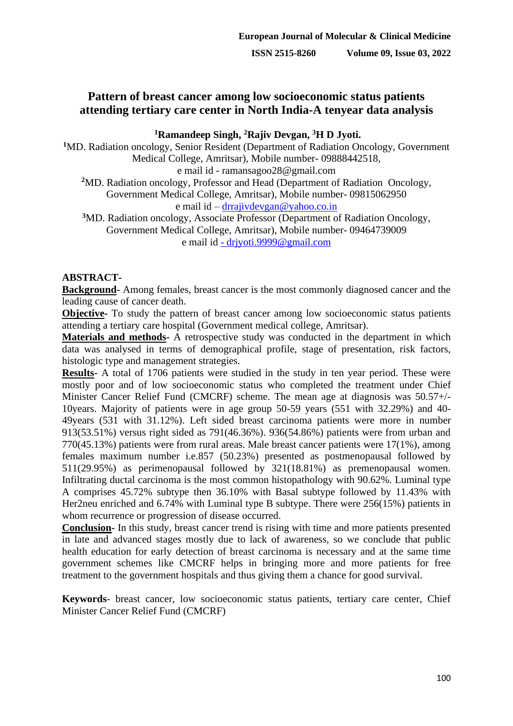# **Pattern of breast cancer among low socioeconomic status patients attending tertiary care center in North India-A tenyear data analysis**

**<sup>1</sup>Ramandeep Singh, <sup>2</sup>Rajiv Devgan, <sup>3</sup>H D Jyoti.**

**<sup>1</sup>**MD. Radiation oncology, Senior Resident (Department of Radiation Oncology, Government Medical College, Amritsar), Mobile number- 09888442518, e mail id - ramansagoo28@gmail.com

**<sup>2</sup>**MD. Radiation oncology, Professor and Head (Department of Radiation Oncology, Government Medical College, Amritsar), Mobile number- 09815062950

e mail id – [drrajivdevgan@yahoo.co.in](mailto:drrajivdevgan@yahoo.co.in)

**<sup>3</sup>**MD. Radiation oncology, Associate Professor (Department of Radiation Oncology, Government Medical College, Amritsar), Mobile number- 09464739009 e mail id - [drjyoti.9999@gmail.com](mailto:-%20drjyoti.9999@gmail.com)

## **ABSTRACT-**

**Background-** Among females, breast cancer is the most commonly diagnosed cancer and the leading cause of cancer death.

**Objective-** To study the pattern of breast cancer among low socioeconomic status patients attending a tertiary care hospital (Government medical college, Amritsar).

**Materials and methods-** A retrospective study was conducted in the department in which data was analysed in terms of demographical profile, stage of presentation, risk factors, histologic type and management strategies.

**Results-** A total of 1706 patients were studied in the study in ten year period. These were mostly poor and of low socioeconomic status who completed the treatment under Chief Minister Cancer Relief Fund (CMCRF) scheme. The mean age at diagnosis was 50.57+/- 10years. Majority of patients were in age group 50-59 years (551 with 32.29%) and 40- 49years (531 with 31.12%). Left sided breast carcinoma patients were more in number 913(53.51%) versus right sided as 791(46.36%). 936(54.86%) patients were from urban and 770(45.13%) patients were from rural areas. Male breast cancer patients were 17(1%), among females maximum number i.e.857 (50.23%) presented as postmenopausal followed by 511(29.95%) as perimenopausal followed by 321(18.81%) as premenopausal women. Infiltrating ductal carcinoma is the most common histopathology with 90.62%. Luminal type A comprises 45.72% subtype then 36.10% with Basal subtype followed by 11.43% with Her2neu enriched and 6.74% with Luminal type B subtype. There were 256(15%) patients in whom recurrence or progression of disease occurred.

**Conclusion-** In this study, breast cancer trend is rising with time and more patients presented in late and advanced stages mostly due to lack of awareness, so we conclude that public health education for early detection of breast carcinoma is necessary and at the same time government schemes like CMCRF helps in bringing more and more patients for free treatment to the government hospitals and thus giving them a chance for good survival.

**Keywords**- breast cancer, low socioeconomic status patients, tertiary care center, Chief Minister Cancer Relief Fund (CMCRF)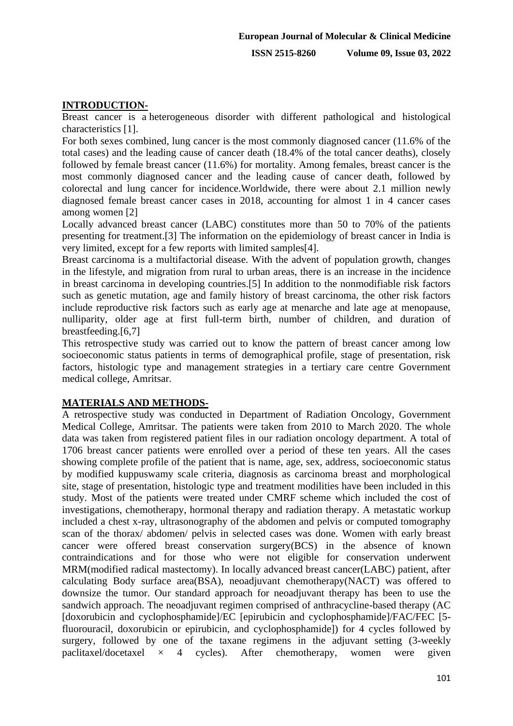## **INTRODUCTION-**

Breast cancer is a heterogeneous disorder with different pathological and histological characteristics [1].

For both sexes combined, lung cancer is the most commonly diagnosed cancer (11.6% of the total cases) and the leading cause of cancer death (18.4% of the total cancer deaths), closely followed by female breast cancer (11.6%) for mortality. Among females, breast cancer is the most commonly diagnosed cancer and the leading cause of cancer death, followed by colorectal and lung cancer for incidence.Worldwide, there were about 2.1 million newly diagnosed female breast cancer cases in 2018, accounting for almost 1 in 4 cancer cases among women [2]

Locally advanced breast cancer (LABC) constitutes more than 50 to 70% of the patients presenting for treatment.[3] The information on the epidemiology of breast cancer in India is very limited, except for a few reports with limited samples[4].

Breast carcinoma is a multifactorial disease. With the advent of population growth, changes in the lifestyle, and migration from rural to urban areas, there is an increase in the incidence in breast carcinoma in developing countries.[5] In addition to the nonmodifiable risk factors such as genetic mutation, age and family history of breast carcinoma, the other risk factors include reproductive risk factors such as early age at menarche and late age at menopause, nulliparity, older age at first full-term birth, number of children, and duration of breastfeeding.[6,7]

This retrospective study was carried out to know the pattern of breast cancer among low socioeconomic status patients in terms of demographical profile, stage of presentation, risk factors, histologic type and management strategies in a tertiary care centre Government medical college, Amritsar.

#### **MATERIALS AND METHODS-**

A retrospective study was conducted in Department of Radiation Oncology, Government Medical College, Amritsar. The patients were taken from 2010 to March 2020. The whole data was taken from registered patient files in our radiation oncology department. A total of 1706 breast cancer patients were enrolled over a period of these ten years. All the cases showing complete profile of the patient that is name, age, sex, address, socioeconomic status by modified kuppuswamy scale criteria, diagnosis as carcinoma breast and morphological site, stage of presentation, histologic type and treatment modilities have been included in this study. Most of the patients were treated under CMRF scheme which included the cost of investigations, chemotherapy, hormonal therapy and radiation therapy. A metastatic workup included a chest x-ray, ultrasonography of the abdomen and pelvis or computed tomography scan of the thorax/ abdomen/ pelvis in selected cases was done. Women with early breast cancer were offered breast conservation surgery(BCS) in the absence of known contraindications and for those who were not eligible for conservation underwent MRM(modified radical mastectomy). In locally advanced breast cancer(LABC) patient, after calculating Body surface area(BSA), neoadjuvant chemotherapy(NACT) was offered to downsize the tumor. Our standard approach for neoadjuvant therapy has been to use the sandwich approach. The neoadjuvant regimen comprised of anthracycline-based therapy (AC [doxorubicin and cyclophosphamide]/EC [epirubicin and cyclophosphamide]/FAC/FEC [5fluorouracil, doxorubicin or epirubicin, and cyclophosphamide]) for 4 cycles followed by surgery, followed by one of the taxane regimens in the adjuvant setting (3-weekly paclitaxel/docetaxel  $\times$  4 cycles). After chemotherapy, women were given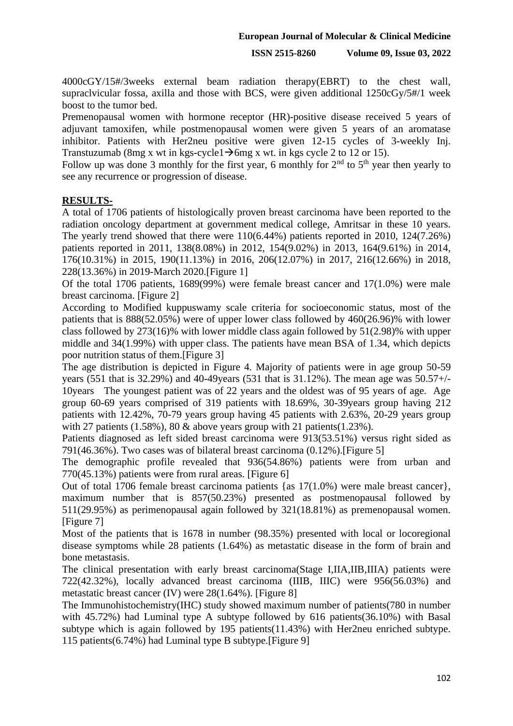4000cGY/15#/3weeks external beam radiation therapy(EBRT) to the chest wall, supraclvicular fossa, axilla and those with BCS, were given additional 1250cGy/5#/1 week boost to the tumor bed.

Premenopausal women with hormone receptor (HR)-positive disease received 5 years of adjuvant tamoxifen, while postmenopausal women were given 5 years of an aromatase inhibitor. Patients with Her2neu positive were given 12-15 cycles of 3-weekly Inj. Transtuzumab (8mg x wt in kgs-cycle1 $\rightarrow$ 6mg x wt. in kgs cycle 2 to 12 or 15).

Follow up was done 3 monthly for the first year, 6 monthly for  $2<sup>nd</sup>$  to  $5<sup>th</sup>$  year then yearly to see any recurrence or progression of disease.

### **RESULTS-**

A total of 1706 patients of histologically proven breast carcinoma have been reported to the radiation oncology department at government medical college, Amritsar in these 10 years. The yearly trend showed that there were 110(6.44%) patients reported in 2010, 124(7.26%) patients reported in 2011, 138(8.08%) in 2012, 154(9.02%) in 2013, 164(9.61%) in 2014, 176(10.31%) in 2015, 190(11.13%) in 2016, 206(12.07%) in 2017, 216(12.66%) in 2018, 228(13.36%) in 2019-March 2020.[Figure 1]

Of the total 1706 patients, 1689(99%) were female breast cancer and 17(1.0%) were male breast carcinoma. [Figure 2]

According to Modified kuppuswamy scale criteria for socioeconomic status, most of the patients that is 888(52.05%) were of upper lower class followed by 460(26.96)% with lower class followed by 273(16)% with lower middle class again followed by 51(2.98)% with upper middle and 34(1.99%) with upper class. The patients have mean BSA of 1.34, which depicts poor nutrition status of them.[Figure 3]

The age distribution is depicted in Figure 4. Majority of patients were in age group 50-59 years (551 that is 32.29%) and 40-49years (531 that is 31.12%). The mean age was 50.57+/- 10years The youngest patient was of 22 years and the oldest was of 95 years of age. Age group 60-69 years comprised of 319 patients with 18.69%, 30-39years group having 212 patients with 12.42%, 70-79 years group having 45 patients with 2.63%, 20-29 years group with 27 patients (1.58%), 80  $\&$  above years group with 21 patients (1.23%).

Patients diagnosed as left sided breast carcinoma were 913(53.51%) versus right sided as 791(46.36%). Two cases was of bilateral breast carcinoma (0.12%).[Figure 5]

The demographic profile revealed that 936(54.86%) patients were from urban and 770(45.13%) patients were from rural areas. [Figure 6]

Out of total 1706 female breast carcinoma patients {as 17(1.0%) were male breast cancer}, maximum number that is 857(50.23%) presented as postmenopausal followed by 511(29.95%) as perimenopausal again followed by 321(18.81%) as premenopausal women. [Figure 7]

Most of the patients that is 1678 in number (98.35%) presented with local or locoregional disease symptoms while 28 patients (1.64%) as metastatic disease in the form of brain and bone metastasis.

The clinical presentation with early breast carcinoma(Stage I,IIA,IIB,IIIA) patients were 722(42.32%), locally advanced breast carcinoma (IIIB, IIIC) were 956(56.03%) and metastatic breast cancer (IV) were 28(1.64%). [Figure 8]

The Immunohistochemistry(IHC) study showed maximum number of patients(780 in number with 45.72%) had Luminal type A subtype followed by 616 patients(36.10%) with Basal subtype which is again followed by 195 patients(11.43%) with Her2neu enriched subtype. 115 patients(6.74%) had Luminal type B subtype.[Figure 9]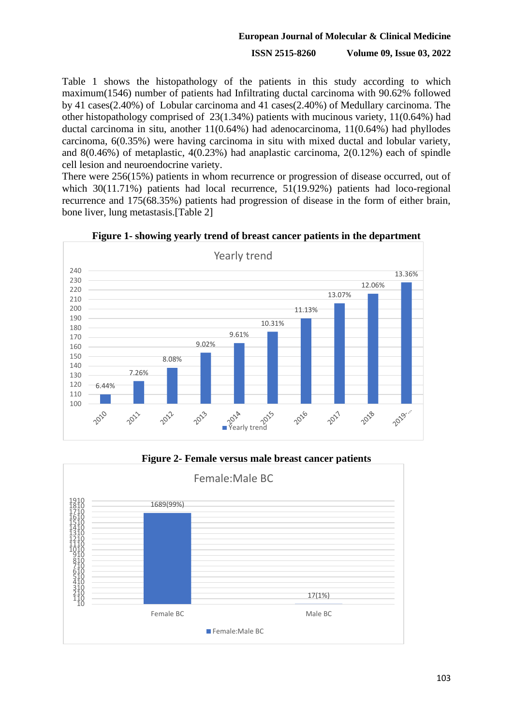#### **European Journal of Molecular & Clinical Medicine**

#### **ISSN 2515-8260 Volume 09, Issue 03, 2022**

Table 1 shows the histopathology of the patients in this study according to which maximum(1546) number of patients had Infiltrating ductal carcinoma with 90.62% followed by 41 cases(2.40%) of Lobular carcinoma and 41 cases(2.40%) of Medullary carcinoma. The other histopathology comprised of 23(1.34%) patients with mucinous variety, 11(0.64%) had ductal carcinoma in situ, another 11(0.64%) had adenocarcinoma, 11(0.64%) had phyllodes carcinoma, 6(0.35%) were having carcinoma in situ with mixed ductal and lobular variety, and 8(0.46%) of metaplastic, 4(0.23%) had anaplastic carcinoma, 2(0.12%) each of spindle cell lesion and neuroendocrine variety.

There were 256(15%) patients in whom recurrence or progression of disease occurred, out of which 30(11.71%) patients had local recurrence, 51(19.92%) patients had loco-regional recurrence and 175(68.35%) patients had progression of disease in the form of either brain, bone liver, lung metastasis.[Table 2]



**Figure 1- showing yearly trend of breast cancer patients in the department**

**Figure 2- Female versus male breast cancer patients**

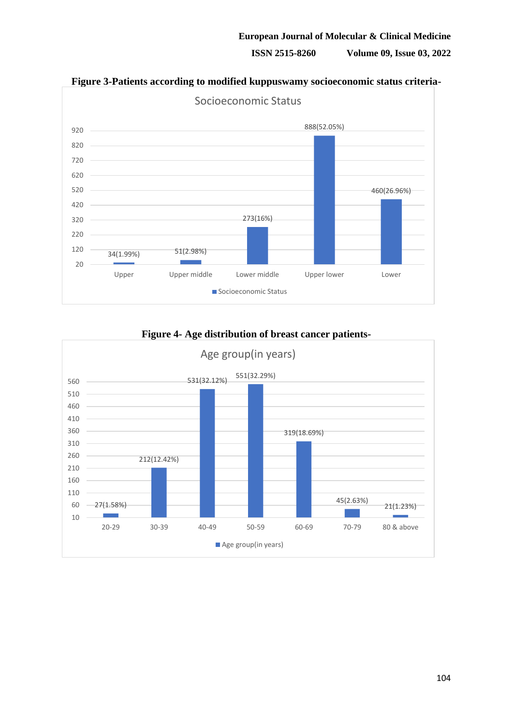#### **ISSN 2515-8260 Volume 09, Issue 03, 2022**



# **Figure 3-Patients according to modified kuppuswamy socioeconomic status criteria-**

**Figure 4- Age distribution of breast cancer patients-**

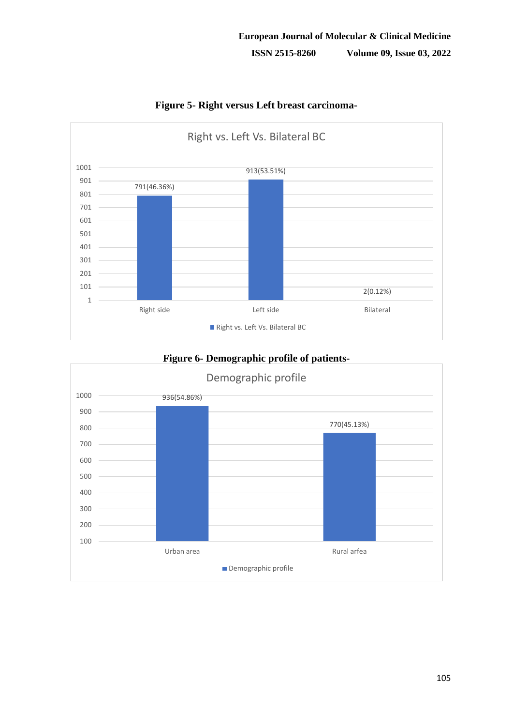

**Figure 5- Right versus Left breast carcinoma-**

# **Figure 6- Demographic profile of patients-**

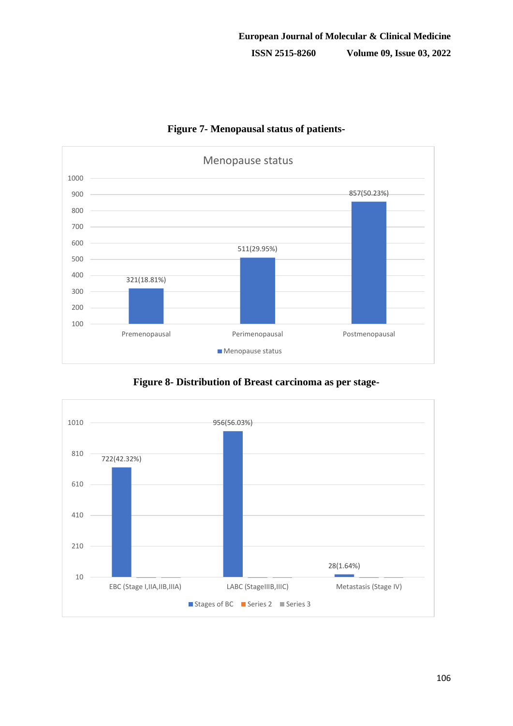

**Figure 7- Menopausal status of patients-**

**Figure 8- Distribution of Breast carcinoma as per stage-**

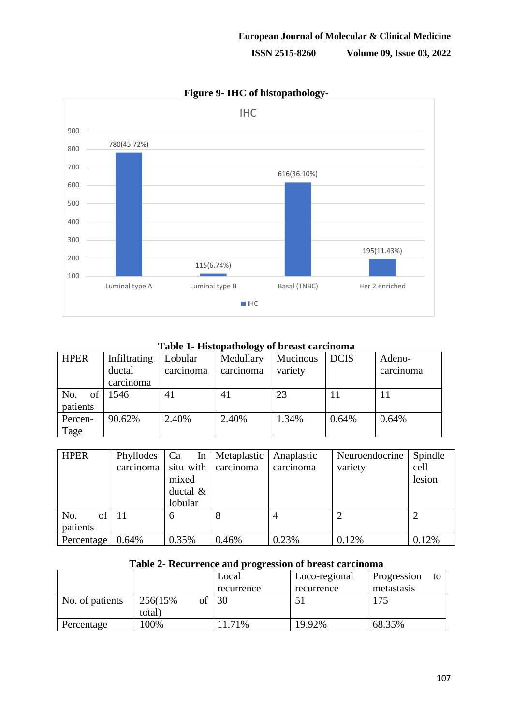

# **Figure 9- IHC of histopathology-**

**Table 1- Histopathology of breast carcinoma**

| <b>HPER</b>           | Infiltrating<br>ductal<br>carcinoma | Lobular<br>carcinoma | Medullary<br>carcinoma | Mucinous<br>variety | <b>DCIS</b> | Adeno-<br>carcinoma |
|-----------------------|-------------------------------------|----------------------|------------------------|---------------------|-------------|---------------------|
| No.<br>of<br>patients | 1546                                | 41                   | 41                     | 23                  |             | 11                  |
| Percen-<br>Tage       | 90.62%                              | 2.40%                | 2.40%                  | 1.34%               | 0.64%       | 0.64%               |

| <b>HPER</b> | Phyllodes | Ca<br>In    | Metaplastic | Anaplastic | Neuroendocrine | Spindle |
|-------------|-----------|-------------|-------------|------------|----------------|---------|
|             | carcinoma | situ with   | carcinoma   | carcinoma  | variety        | cell    |
|             |           | mixed       |             |            |                | lesion  |
|             |           | ductal $\&$ |             |            |                |         |
|             |           | lobular     |             |            |                |         |
| of<br>No.   | 11        | 6           | 8           |            |                |         |
| patients    |           |             |             |            |                |         |
| Percentage  | $0.64\%$  | 0.35%       | 0.46%       | 0.23%      | 0.12%          | 0.12%   |

# **Table 2- Recurrence and progression of breast carcinoma**

|                 |          |    | Local      | Loco-regional | Progression<br>to |
|-----------------|----------|----|------------|---------------|-------------------|
|                 |          |    | recurrence | recurrence    | metastasis        |
| No. of patients | 256(15%) | Ωt | 30         |               | 175               |
|                 | total)   |    |            |               |                   |
| Percentage      | 100%     |    | 11.71%     | 19.92%        | 68.35%            |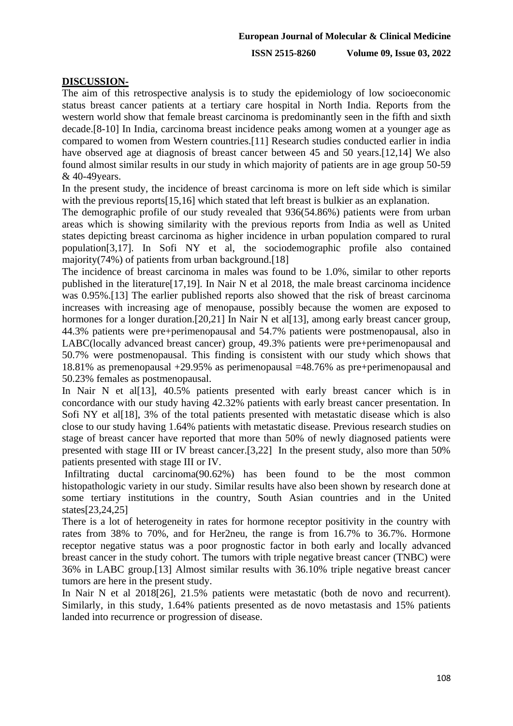### **DISCUSSION-**

The aim of this retrospective analysis is to study the epidemiology of low socioeconomic status breast cancer patients at a tertiary care hospital in North India. Reports from the western world show that female breast carcinoma is predominantly seen in the fifth and sixth decade.[8-10] In India, carcinoma breast incidence peaks among women at a younger age as compared to women from Western countries.[11] Research studies conducted earlier in india have observed age at diagnosis of breast cancer between 45 and 50 years.[12,14] We also found almost similar results in our study in which majority of patients are in age group 50-59 & 40-49years.

In the present study, the incidence of breast carcinoma is more on left side which is similar with the previous reports<sup>[15,16]</sup> which stated that left breast is bulkier as an explanation.

The demographic profile of our study revealed that 936(54.86%) patients were from urban areas which is showing similarity with the previous reports from India as well as United states depicting breast carcinoma as higher incidence in urban population compared to rural population[3,17]. In Sofi NY et al, the sociodemographic profile also contained majority(74%) of patients from urban background.<sup>[18]</sup>

The incidence of breast carcinoma in males was found to be 1.0%, similar to other reports published in the literature[17,19]. In Nair N et al 2018, the male breast carcinoma incidence was 0.95%.[13] The earlier published reports also showed that the risk of breast carcinoma increases with increasing age of menopause, possibly because the women are exposed to hormones for a longer duration.[20,21] In Nair N et al.[13], among early breast cancer group, 44.3% patients were pre+perimenopausal and 54.7% patients were postmenopausal, also in LABC(locally advanced breast cancer) group, 49.3% patients were pre+perimenopausal and 50.7% were postmenopausal. This finding is consistent with our study which shows that 18.81% as premenopausal +29.95% as perimenopausal =48.76% as pre+perimenopausal and 50.23% females as postmenopausal.

In Nair N et al<sup>[13]</sup>, 40.5% patients presented with early breast cancer which is in concordance with our study having 42.32% patients with early breast cancer presentation. In Sofi NY et al<sup>[18]</sup>, 3% of the total patients presented with metastatic disease which is also close to our study having 1.64% patients with metastatic disease. Previous research studies on stage of breast cancer have reported that more than 50% of newly diagnosed patients were presented with stage III or IV breast cancer.[3,22] In the present study, also more than 50% patients presented with stage III or IV.

Infiltrating ductal carcinoma(90.62%) has been found to be the most common histopathologic variety in our study. Similar results have also been shown by research done at some tertiary institutions in the country, South Asian countries and in the United states[23,24,25]

There is a lot of heterogeneity in rates for hormone receptor positivity in the country with rates from 38% to 70%, and for Her2neu, the range is from 16.7% to 36.7%. Hormone receptor negative status was a poor prognostic factor in both early and locally advanced breast cancer in the study cohort. The tumors with triple negative breast cancer (TNBC) were 36% in LABC group.[13] Almost similar results with 36.10% triple negative breast cancer tumors are here in the present study.

In Nair N et al 2018[26], 21.5% patients were metastatic (both de novo and recurrent). Similarly, in this study, 1.64% patients presented as de novo metastasis and 15% patients landed into recurrence or progression of disease.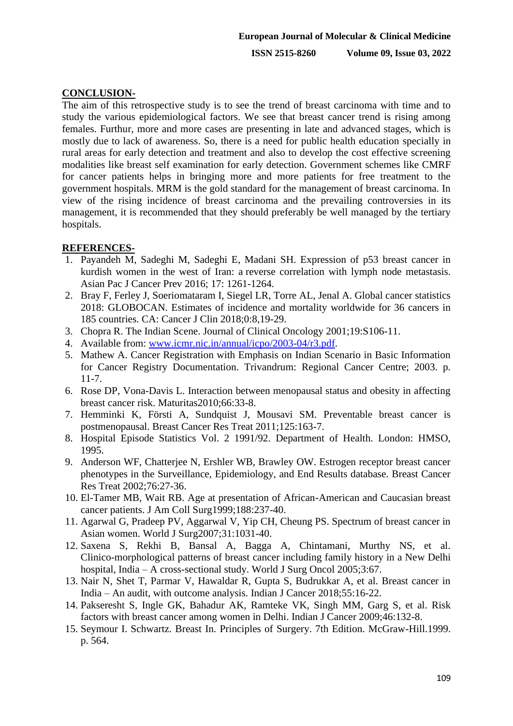# **CONCLUSION-**

The aim of this retrospective study is to see the trend of breast carcinoma with time and to study the various epidemiological factors. We see that breast cancer trend is rising among females. Furthur, more and more cases are presenting in late and advanced stages, which is mostly due to lack of awareness. So, there is a need for public health education specially in rural areas for early detection and treatment and also to develop the cost effective screening modalities like breast self examination for early detection. Government schemes like CMRF for cancer patients helps in bringing more and more patients for free treatment to the government hospitals. MRM is the gold standard for the management of breast carcinoma. In view of the rising incidence of breast carcinoma and the prevailing controversies in its management, it is recommended that they should preferably be well managed by the tertiary hospitals.

### **REFERENCES-**

- 1. Payandeh M, Sadeghi M, Sadeghi E, Madani SH. Expression of p53 breast cancer in kurdish women in the west of Iran: a reverse correlation with lymph node metastasis. Asian Pac J Cancer Prev 2016; 17: 1261-1264.
- 2. Bray F, Ferley J, Soeriomataram I, Siegel LR, Torre AL, Jenal A. Global cancer statistics 2018: GLOBOCAN. Estimates of incidence and mortality worldwide for 36 cancers in 185 countries. CA: Cancer J Clin 2018;0:8,19-29.
- 3. Chopra R. The Indian Scene. Journal of Clinical Oncology 2001;19:S106-11.
- 4. Available from: [www.icmr.nic.in/annual/icpo/2003-04/r3.pdf.](http://www.icmr.nic.in/annual/icpo/2003-04/r3.pdf)
- 5. Mathew A. Cancer Registration with Emphasis on Indian Scenario in Basic Information for Cancer Registry Documentation. Trivandrum: Regional Cancer Centre; 2003. p. 11-7.
- 6. Rose DP, Vona-Davis L. Interaction between menopausal status and obesity in affecting breast cancer risk. Maturitas2010;66:33-8.
- 7. Hemminki K, Försti A, Sundquist J, Mousavi SM. Preventable breast cancer is postmenopausal. Breast Cancer Res Treat 2011;125:163-7.
- 8. Hospital Episode Statistics Vol. 2 1991/92. Department of Health. London: HMSO, 1995.
- 9. Anderson WF, Chatterjee N, Ershler WB, Brawley OW. Estrogen receptor breast cancer phenotypes in the Surveillance, Epidemiology, and End Results database. Breast Cancer Res Treat 2002;76:27-36.
- 10. El-Tamer MB, Wait RB. Age at presentation of African-American and Caucasian breast cancer patients. J Am Coll Surg1999;188:237-40.
- 11. Agarwal G, Pradeep PV, Aggarwal V, Yip CH, Cheung PS. Spectrum of breast cancer in Asian women. World J Surg2007;31:1031-40.
- 12. Saxena S, Rekhi B, Bansal A, Bagga A, Chintamani, Murthy NS, et al. Clinico-morphological patterns of breast cancer including family history in a New Delhi hospital, India – A cross-sectional study. World J Surg Oncol 2005;3:67.
- 13. Nair N, Shet T, Parmar V, Hawaldar R, Gupta S, Budrukkar A, et al. Breast cancer in India – An audit, with outcome analysis. Indian J Cancer 2018;55:16-22.
- 14. Pakseresht S, Ingle GK, Bahadur AK, Ramteke VK, Singh MM, Garg S, et al. Risk factors with breast cancer among women in Delhi. Indian J Cancer 2009;46:132-8.
- 15. Seymour I. Schwartz. Breast In. Principles of Surgery. 7th Edition. McGraw-Hill.1999. p. 564.